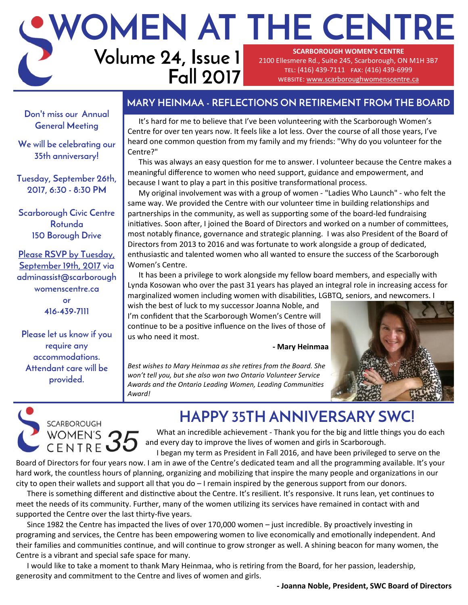### **Volume 24, Issue 1 WOMEN AT THE CENTRE SCARBOROUGH WOMEN'S CENTRE**  2100 Ellesmere Rd., Suite 245, Scarborough, ON M1H 3B7 tel: (416) 439-7111 fax: (416) 439-6999

**Fall 2017**

website: [www.scarboroughwomenscentre.ca](http://www.scarboroughwomenscentre.ca)

## **MARY HEINMAA - REFLECTIONS ON RETIREMENT FROM THE BOARD**

**Don't miss our Annual General Meeting**

**We will be celebrating our 35th anniversary!**

**Tuesday, September 26th, 2017, 6:30 - 8:30 PM**

**Scarborough Civic Centre Rotunda 150 Borough Drive**

**Please RSVP by Tuesday, September 19th, 2017 via adminassist@scarborough womenscentre.ca or 416-439-7111**

**Please let us know if you require any accommodations. Attendant care will be provided.**

It's hard for me to believe that I've been volunteering with the Scarborough Women's Centre for over ten years now. It feels like a lot less. Over the course of all those years, I've heard one common question from my family and my friends: "Why do you volunteer for the Centre?"

This was always an easy question for me to answer. I volunteer because the Centre makes a meaningful difference to women who need support, guidance and empowerment, and because I want to play a part in this positive transformational process.

My original involvement was with a group of women - "Ladies Who Launch" - who felt the same way. We provided the Centre with our volunteer time in building relationships and partnerships in the community, as well as supporting some of the board-led fundraising initiatives. Soon after, I joined the Board of Directors and worked on a number of committees, most notably finance, governance and strategic planning. I was also President of the Board of Directors from 2013 to 2016 and was fortunate to work alongside a group of dedicated, enthusiastic and talented women who all wanted to ensure the success of the Scarborough Women's Centre.

It has been a privilege to work alongside my fellow board members, and especially with Lynda Kosowan who over the past 31 years has played an integral role in increasing access for marginalized women including women with disabilities, LGBTQ, seniors, and newcomers. I

wish the best of luck to my successor Joanna Noble, and I'm confident that the Scarborough Women's Centre will continue to be a positive influence on the lives of those of us who need it most.

**- Mary Heinmaa** 

*Best wishes to Mary Heinmaa as she retires from the Board. She won't tell you, but she also won two Ontario Volunteer Service Awards and the Ontario Leading Women, Leading Communities Award!*





**HAPPY 35TH ANNIVERSARY SWC!** What an incredible achievement - Thank you for the big and little things you do each

and every day to improve the lives of women and girls in Scarborough. I began my term as President in Fall 2016, and have been privileged to serve on the

Board of Directors for four years now. I am in awe of the Centre's dedicated team and all the programming available. It's your hard work, the countless hours of planning, organizing and mobilizing that inspire the many people and organizations in our city to open their wallets and support all that you do – I remain inspired by the generous support from our donors.

There is something different and distinctive about the Centre. It's resilient. It's responsive. It runs lean, yet continues to meet the needs of its community. Further, many of the women utilizing its services have remained in contact with and supported the Centre over the last thirty-five years.

Since 1982 the Centre has impacted the lives of over 170,000 women – just incredible. By proactively investing in programing and services, the Centre has been empowering women to live economically and emotionally independent. And their families and communities continue, and will continue to grow stronger as well. A shining beacon for many women, the Centre is a vibrant and special safe space for many.

I would like to take a moment to thank Mary Heinmaa, who is retiring from the Board, for her passion, leadership, generosity and commitment to the Centre and lives of women and girls.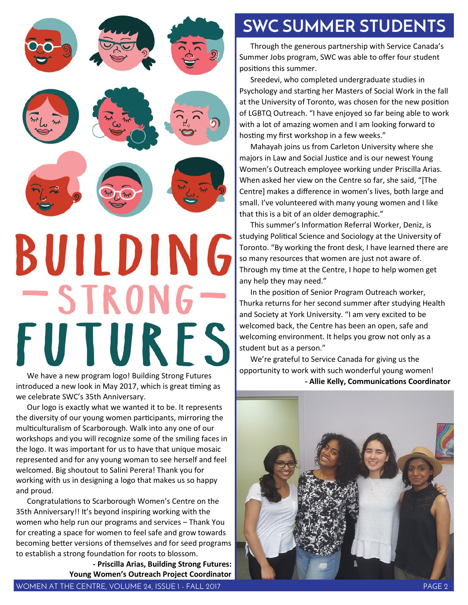

We have a new program logo! Building Strong Futures introduced a new look in May 2017, which is great timing as we celebrate SWC's 35th Anniversary.

Our logo is exactly what we wanted it to be. It represents the diversity of our young women participants, mirroring the multiculturalism of Scarborough. Walk into any one of our workshops and you will recognize some of the smiling faces in the logo. It was important for us to have that unique mosaic represented and for any young woman to see herself and feel welcomed. Big shoutout to Salini Perera! Thank you for working with us in designing a logo that makes us so happy and proud.

Congratulations to Scarborough Women's Centre on the 35th Anniversary!! It's beyond inspiring working with the women who help run our programs and services – Thank You for creating a space for women to feel safe and grow towards becoming better versions of themselves and for seed programs to establish a strong foundation for roots to blossom.

**- Priscilla Arias, Building Strong Futures: Young Women's Outreach Project Coordinator** 

Through the generous partnership with Service Canada's Summer Jobs program, SWC was able to offer four student positions this summer.

Sreedevi, who completed undergraduate studies in Psychology and starting her Masters of Social Work in the fall at the University of Toronto, was chosen for the new position of LGBTQ Outreach. "I have enjoyed so far being able to work with a lot of amazing women and I am looking forward to hosting my first workshop in a few weeks."

Mahayah joins us from Carleton University where she majors in Law and Social Justice and is our newest Young Women's Outreach employee working under Priscilla Arias. When asked her view on the Centre so far, she said, "[The Centre] makes a difference in women's lives, both large and small. I've volunteered with many young women and I like that this is a bit of an older demographic."

This summer's Information Referral Worker, Deniz, is studying Political Science and Sociology at the University of Toronto. "By working the front desk, I have learned there are so many resources that women are just not aware of. Through my time at the Centre, I hope to help women get any help they may need."

In the position of Senior Program Outreach worker, Thurka returns for her second summer after studying Health and Society at York University. "I am very excited to be welcomed back, the Centre has been an open, safe and welcoming environment. It helps you grow not only as a student but as a person."

We're grateful to Service Canada for giving us the opportunity to work with such wonderful young women! **- Allie Kelly, Communications Coordinator**

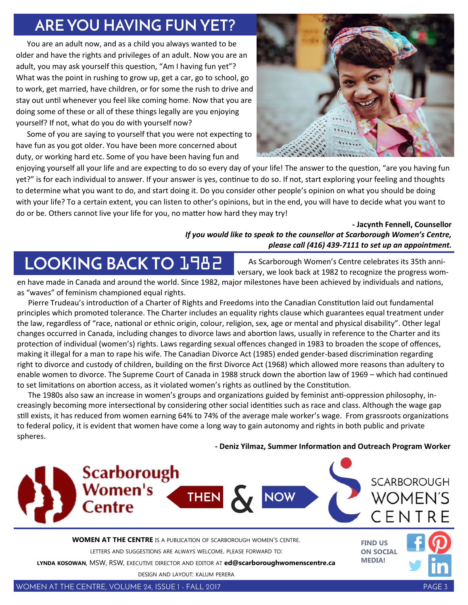## **ARE YOU HAVING FUN YET?**

You are an adult now, and as a child you always wanted to be older and have the rights and privileges of an adult. Now you are an adult, you may ask yourself this question, "Am I having fun yet"? What was the point in rushing to grow up, get a car, go to school, go to work, get married, have children, or for some the rush to drive and stay out until whenever you feel like coming home. Now that you are doing some of these or all of these things legally are you enjoying yourself? If not, what do you do with yourself now?

Some of you are saying to yourself that you were not expecting to have fun as you got older. You have been more concerned about duty, or working hard etc. Some of you have been having fun and



enjoying yourself all your life and are expecting to do so every day of your life! The answer to the question, "are you having fun yet?" is for each individual to answer. If your answer is yes, continue to do so. If not, start exploring your feeling and thoughts to determine what you want to do, and start doing it. Do you consider other people's opinion on what you should be doing with your life? To a certain extent, you can listen to other's opinions, but in the end, you will have to decide what you want to do or be. Others cannot live your life for you, no matter how hard they may try!

#### **- Jacynth Fennell, Counsellor** *If you would like to speak to the counsellor at Scarborough Women's Centre, please call (416) 439-7111 to set up an appointment.*

# **LOOKING BACK TO** 1982

As Scarborough Women's Centre celebrates its 35th anniversary, we look back at 1982 to recognize the progress wom-

en have made in Canada and around the world. Since 1982, major milestones have been achieved by individuals and nations, as "waves" of feminism championed equal rights.

Pierre Trudeau's introduction of a Charter of Rights and Freedoms into the Canadian Constitution laid out fundamental principles which promoted tolerance. The Charter includes an equality rights clause which guarantees equal treatment under the law, regardless of "race, national or ethnic origin, colour, religion, sex, age or mental and physical disability". Other legal changes occurred in Canada, including changes to divorce laws and abortion laws, usually in reference to the Charter and its protection of individual (women's) rights. Laws regarding sexual offences changed in 1983 to broaden the scope of offences, making it illegal for a man to rape his wife. The Canadian Divorce Act (1985) ended gender-based discrimination regarding right to divorce and custody of children, building on the first Divorce Act (1968) which allowed more reasons than adultery to enable women to divorce. The Supreme Court of Canada in 1988 struck down the abortion law of 1969 – which had continued to set limitations on abortion access, as it violated women's rights as outlined by the Constitution.

The 1980s also saw an increase in women's groups and organizations guided by feminist anti-oppression philosophy, increasingly becoming more intersectional by considering other social identities such as race and class. Although the wage gap still exists, it has reduced from women earning 64% to 74% of the average male worker's wage. From grassroots organizations to federal policy, it is evident that women have come a long way to gain autonomy and rights in both public and private spheres.

**- Deniz Yilmaz, Summer Information and Outreach Program Worker** 



DESIGN AND LAYOUT: KALUM PERERA